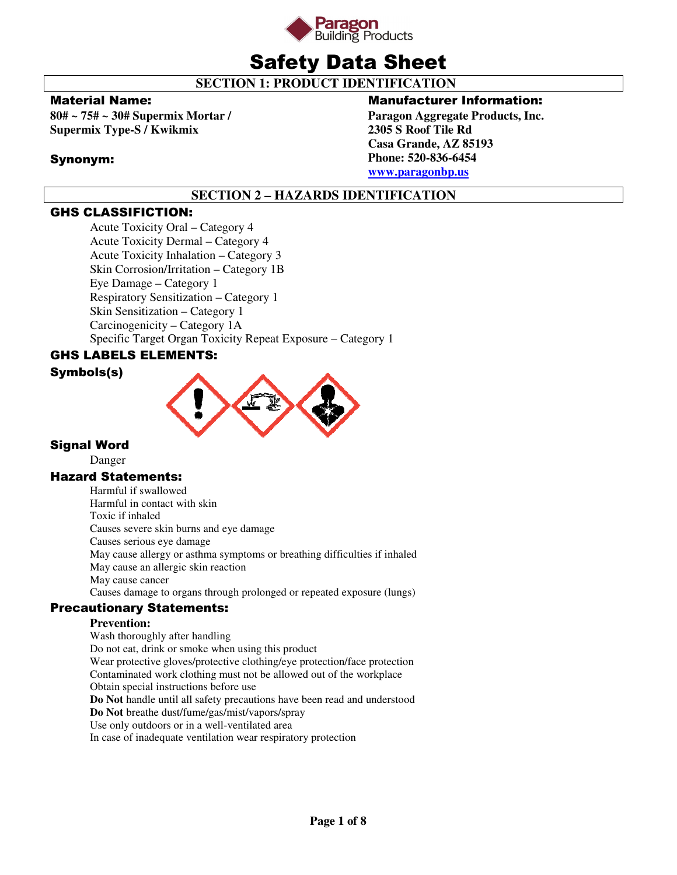

# Safety Data Sheet

 **SECTION 1: PRODUCT IDENTIFICATION** 

# Material Name:

**80# ~ 75# ~ 30# Supermix Mortar / Supermix Type-S / Kwikmix** 

# Synonym:

# Manufacturer Information:

**Paragon Aggregate Products, Inc. 2305 S Roof Tile Rd Casa Grande, AZ 85193 Phone: 520-836-6454 www.paragonbp.us**

# **SECTION 2 – HAZARDS IDENTIFICATION**

# GHS CLASSIFICTION:

Acute Toxicity Oral – Category 4 Acute Toxicity Dermal – Category 4 Acute Toxicity Inhalation – Category 3 Skin Corrosion/Irritation – Category 1B Eye Damage – Category 1 Respiratory Sensitization – Category 1 Skin Sensitization – Category 1 Carcinogenicity – Category 1A Specific Target Organ Toxicity Repeat Exposure – Category 1

# GHS LABELS ELEMENTS:





# Signal Word

Danger

# Hazard Statements:

Harmful if swallowed Harmful in contact with skin Toxic if inhaled Causes severe skin burns and eye damage Causes serious eye damage May cause allergy or asthma symptoms or breathing difficulties if inhaled May cause an allergic skin reaction May cause cancer Causes damage to organs through prolonged or repeated exposure (lungs)

# Precautionary Statements:

# **Prevention:**

Wash thoroughly after handling Do not eat, drink or smoke when using this product Wear protective gloves/protective clothing/eye protection/face protection Contaminated work clothing must not be allowed out of the workplace Obtain special instructions before use **Do Not** handle until all safety precautions have been read and understood **Do Not** breathe dust/fume/gas/mist/vapors/spray Use only outdoors or in a well-ventilated area In case of inadequate ventilation wear respiratory protection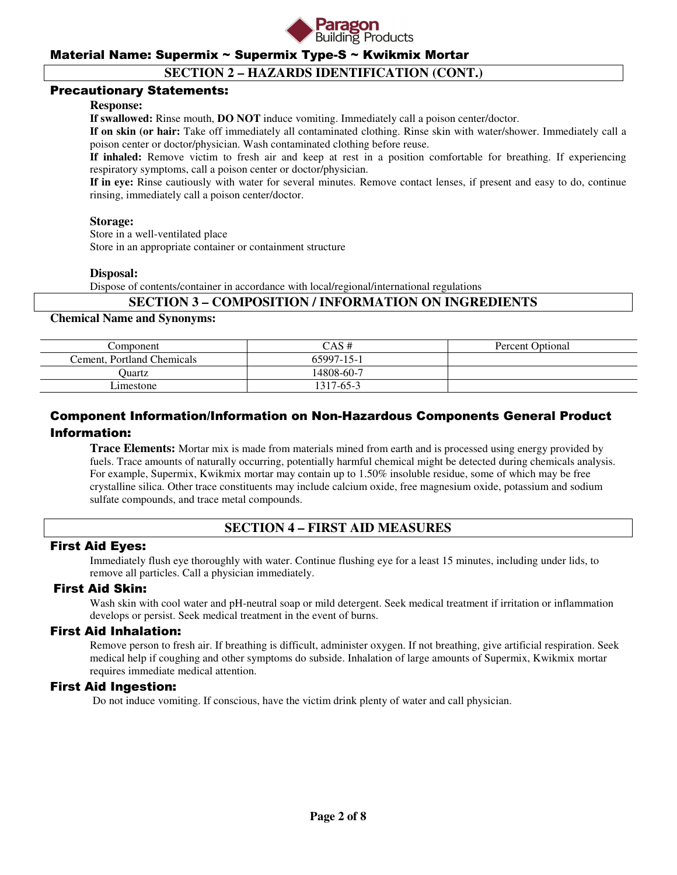

# **SECTION 2 – HAZARDS IDENTIFICATION (CONT.)**

### Precautionary Statements:

#### **Response:**

**If swallowed:** Rinse mouth, **DO NOT** induce vomiting. Immediately call a poison center/doctor.

**If on skin (or hair:** Take off immediately all contaminated clothing. Rinse skin with water/shower. Immediately call a poison center or doctor/physician. Wash contaminated clothing before reuse.

**If inhaled:** Remove victim to fresh air and keep at rest in a position comfortable for breathing. If experiencing respiratory symptoms, call a poison center or doctor/physician.

**If in eye:** Rinse cautiously with water for several minutes. Remove contact lenses, if present and easy to do, continue rinsing, immediately call a poison center/doctor.

#### **Storage:**

 Store in a well-ventilated place Store in an appropriate container or containment structure

#### **Disposal:**

Dispose of contents/container in accordance with local/regional/international regulations

### **SECTION 3 – COMPOSITION / INFORMATION ON INGREDIENTS**

#### **Chemical Name and Synonyms:**

| Component                  | CAS #      | Percent Optional |
|----------------------------|------------|------------------|
| Cement, Portland Chemicals | 65997-15-1 |                  |
| <b>Duartz</b>              | 14808-60-7 |                  |
| imestone                   | 1317-65-3  |                  |

# Component Information/Information on Non-Hazardous Components General Product Information:

**Trace Elements:** Mortar mix is made from materials mined from earth and is processed using energy provided by fuels. Trace amounts of naturally occurring, potentially harmful chemical might be detected during chemicals analysis. For example, Supermix, Kwikmix mortar may contain up to 1.50% insoluble residue, some of which may be free crystalline silica. Other trace constituents may include calcium oxide, free magnesium oxide, potassium and sodium sulfate compounds, and trace metal compounds.

# **SECTION 4 – FIRST AID MEASURES**

### First Aid Eyes:

Immediately flush eye thoroughly with water. Continue flushing eye for a least 15 minutes, including under lids, to remove all particles. Call a physician immediately.

# First Aid Skin:

Wash skin with cool water and pH-neutral soap or mild detergent. Seek medical treatment if irritation or inflammation develops or persist. Seek medical treatment in the event of burns.

### First Aid Inhalation:

Remove person to fresh air. If breathing is difficult, administer oxygen. If not breathing, give artificial respiration. Seek medical help if coughing and other symptoms do subside. Inhalation of large amounts of Supermix, Kwikmix mortar requires immediate medical attention.

#### First Aid Ingestion:

Do not induce vomiting. If conscious, have the victim drink plenty of water and call physician.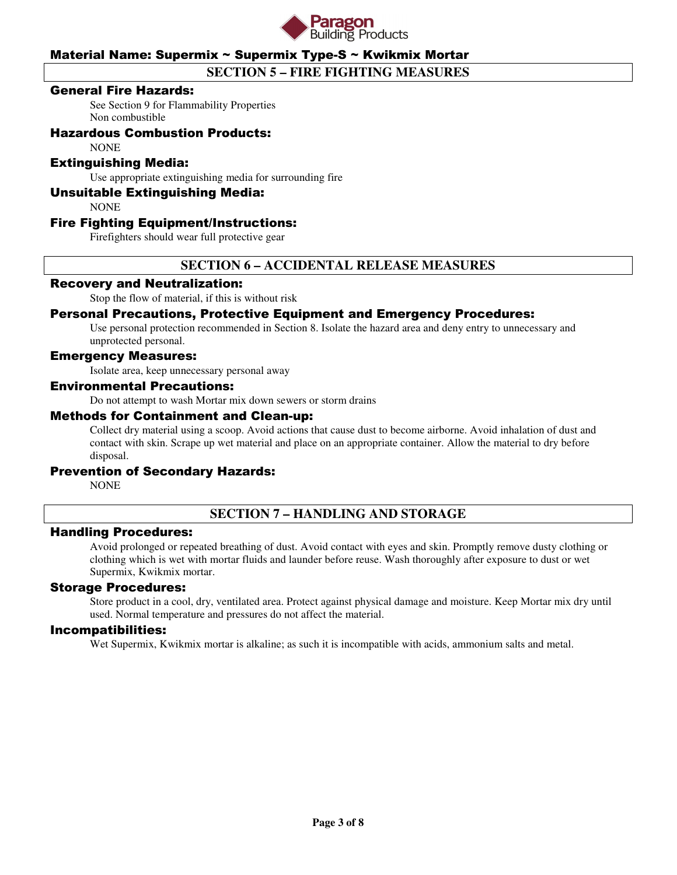

# **SECTION 5 – FIRE FIGHTING MEASURES**

### General Fire Hazards:

See Section 9 for Flammability Properties Non combustible

# Hazardous Combustion Products:

**NONE** 

### Extinguishing Media:

Use appropriate extinguishing media for surrounding fire

### Unsuitable Extinguishing Media:

**NONE** 

### Fire Fighting Equipment/Instructions:

Firefighters should wear full protective gear

# **SECTION 6 – ACCIDENTAL RELEASE MEASURES**

#### Recovery and Neutralization:

Stop the flow of material, if this is without risk

# Personal Precautions, Protective Equipment and Emergency Procedures:

Use personal protection recommended in Section 8. Isolate the hazard area and deny entry to unnecessary and unprotected personal.

### Emergency Measures:

Isolate area, keep unnecessary personal away

#### Environmental Precautions:

Do not attempt to wash Mortar mix down sewers or storm drains

#### Methods for Containment and Clean-up:

Collect dry material using a scoop. Avoid actions that cause dust to become airborne. Avoid inhalation of dust and contact with skin. Scrape up wet material and place on an appropriate container. Allow the material to dry before disposal.

#### Prevention of Secondary Hazards:

NONE

# **SECTION 7 – HANDLING AND STORAGE**

#### Handling Procedures:

Avoid prolonged or repeated breathing of dust. Avoid contact with eyes and skin. Promptly remove dusty clothing or clothing which is wet with mortar fluids and launder before reuse. Wash thoroughly after exposure to dust or wet Supermix, Kwikmix mortar.

#### Storage Procedures:

Store product in a cool, dry, ventilated area. Protect against physical damage and moisture. Keep Mortar mix dry until used. Normal temperature and pressures do not affect the material.

#### Incompatibilities:

Wet Supermix, Kwikmix mortar is alkaline; as such it is incompatible with acids, ammonium salts and metal.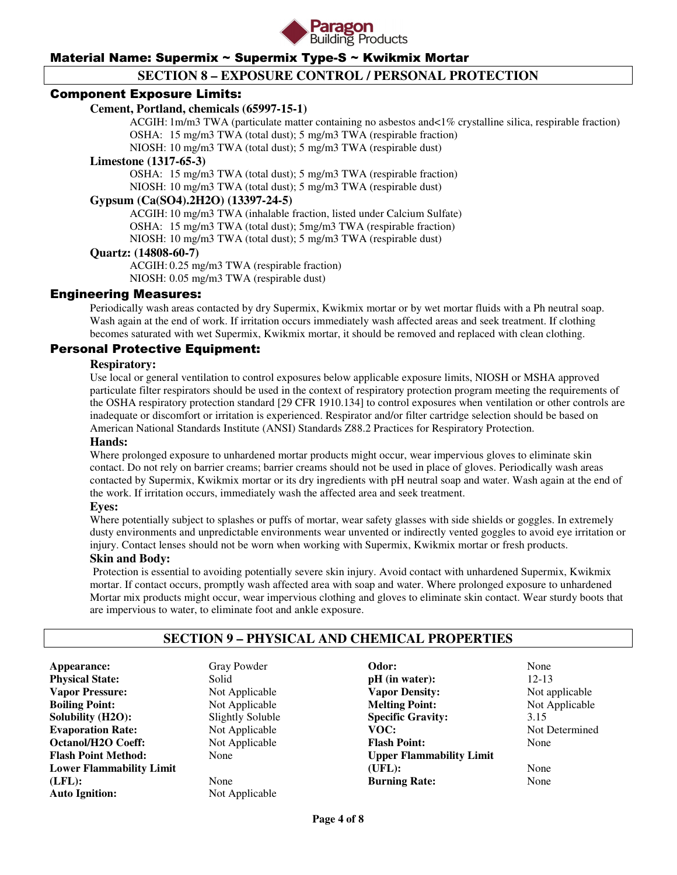

# **SECTION 8 – EXPOSURE CONTROL / PERSONAL PROTECTION**

### Component Exposure Limits:

### **Cement, Portland, chemicals (65997-15-1)**

 ACGIH: 1m/m3 TWA (particulate matter containing no asbestos and<1% crystalline silica, respirable fraction) OSHA: 15 mg/m3 TWA (total dust); 5 mg/m3 TWA (respirable fraction)

NIOSH: 10 mg/m3 TWA (total dust); 5 mg/m3 TWA (respirable dust)

#### **Limestone (1317-65-3)**

 OSHA: 15 mg/m3 TWA (total dust); 5 mg/m3 TWA (respirable fraction) NIOSH: 10 mg/m3 TWA (total dust); 5 mg/m3 TWA (respirable dust)

# **Gypsum (Ca(SO4).2H2O) (13397-24-5)**

 ACGIH: 10 mg/m3 TWA (inhalable fraction, listed under Calcium Sulfate) OSHA: 15 mg/m3 TWA (total dust); 5mg/m3 TWA (respirable fraction) NIOSH: 10 mg/m3 TWA (total dust); 5 mg/m3 TWA (respirable dust)

#### **Quartz: (14808-60-7)**

 ACGIH: 0.25 mg/m3 TWA (respirable fraction) NIOSH: 0.05 mg/m3 TWA (respirable dust)

### Engineering Measures:

Periodically wash areas contacted by dry Supermix, Kwikmix mortar or by wet mortar fluids with a Ph neutral soap. Wash again at the end of work. If irritation occurs immediately wash affected areas and seek treatment. If clothing becomes saturated with wet Supermix, Kwikmix mortar, it should be removed and replaced with clean clothing.

### Personal Protective Equipment:

#### **Respiratory:**

Use local or general ventilation to control exposures below applicable exposure limits, NIOSH or MSHA approved particulate filter respirators should be used in the context of respiratory protection program meeting the requirements of the OSHA respiratory protection standard [29 CFR 1910.134] to control exposures when ventilation or other controls are inadequate or discomfort or irritation is experienced. Respirator and/or filter cartridge selection should be based on American National Standards Institute (ANSI) Standards Z88.2 Practices for Respiratory Protection.

#### **Hands:**

Where prolonged exposure to unhardened mortar products might occur, wear impervious gloves to eliminate skin contact. Do not rely on barrier creams; barrier creams should not be used in place of gloves. Periodically wash areas contacted by Supermix, Kwikmix mortar or its dry ingredients with pH neutral soap and water. Wash again at the end of the work. If irritation occurs, immediately wash the affected area and seek treatment.

#### **Eyes:**

Where potentially subject to splashes or puffs of mortar, wear safety glasses with side shields or goggles. In extremely dusty environments and unpredictable environments wear unvented or indirectly vented goggles to avoid eye irritation or injury. Contact lenses should not be worn when working with Supermix, Kwikmix mortar or fresh products.

### **Skin and Body:**

Protection is essential to avoiding potentially severe skin injury. Avoid contact with unhardened Supermix, Kwikmix mortar. If contact occurs, promptly wash affected area with soap and water. Where prolonged exposure to unhardened Mortar mix products might occur, wear impervious clothing and gloves to eliminate skin contact. Wear sturdy boots that are impervious to water, to eliminate foot and ankle exposure.

# **SECTION 9 – PHYSICAL AND CHEMICAL PROPERTIES**

**Appearance:** Gray Powder **Physical State:** Solid **Vapor Pressure:** Not Applicable **Boiling Point:** Not Applicable **Solubility (H2O):** Slightly Soluble **Evaporation Rate:** Not Applicable **Octanol/H2O Coeff:** Not Applicable **Flash Point Method:** None **Lower Flammability Limit (LFL):** None **Auto Ignition:** Not Applicable

**Odor:** None **pH** (in water): 12-13 **Vapor Density:** Not applicable **Melting Point:** Not Applicable **Specific Gravity:** 3.15<br> **VOC:** Not 1 **Flash Point:** None **Upper Flammability Limit (UFL):** None **Burning Rate:** None

**Not Determined**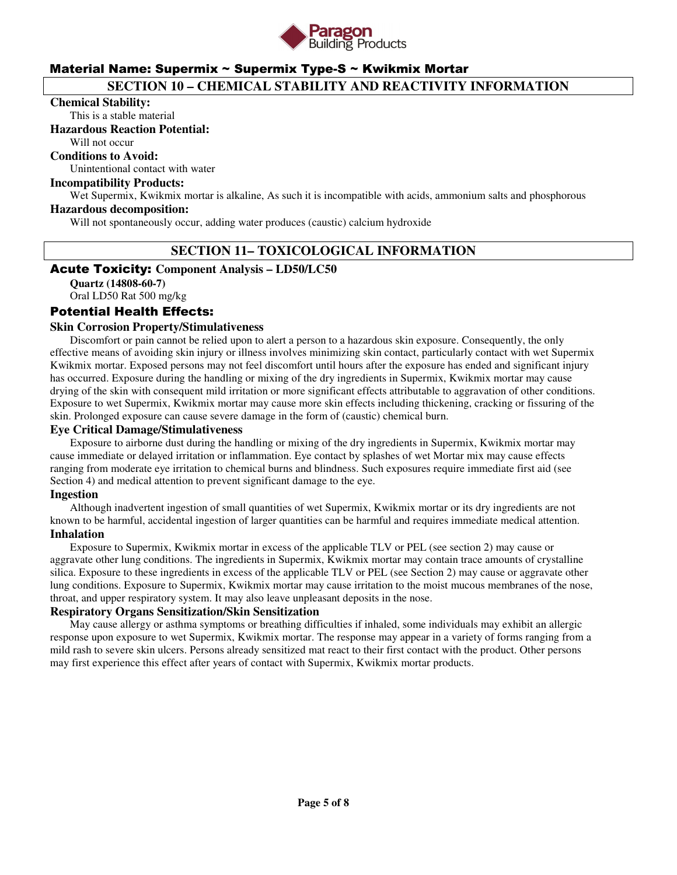

# **SECTION 10 – CHEMICAL STABILITY AND REACTIVITY INFORMATION**

#### **Chemical Stability:**

This is a stable material

#### **Hazardous Reaction Potential:**

Will not occur

# **Conditions to Avoid:**

Unintentional contact with water

### **Incompatibility Products:**

Wet Supermix, Kwikmix mortar is alkaline, As such it is incompatible with acids, ammonium salts and phosphorous

#### **Hazardous decomposition:**

Will not spontaneously occur, adding water produces (caustic) calcium hydroxide

# **SECTION 11– TOXICOLOGICAL INFORMATION**

#### Acute Toxicity: **Component Analysis – LD50/LC50**

**Quartz (14808-60-7)**  Oral LD50 Rat 500 mg/kg

### Potential Health Effects:

#### **Skin Corrosion Property/Stimulativeness**

 Discomfort or pain cannot be relied upon to alert a person to a hazardous skin exposure. Consequently, the only effective means of avoiding skin injury or illness involves minimizing skin contact, particularly contact with wet Supermix Kwikmix mortar. Exposed persons may not feel discomfort until hours after the exposure has ended and significant injury has occurred. Exposure during the handling or mixing of the dry ingredients in Supermix, Kwikmix mortar may cause drying of the skin with consequent mild irritation or more significant effects attributable to aggravation of other conditions. Exposure to wet Supermix, Kwikmix mortar may cause more skin effects including thickening, cracking or fissuring of the skin. Prolonged exposure can cause severe damage in the form of (caustic) chemical burn.

#### **Eye Critical Damage/Stimulativeness**

 Exposure to airborne dust during the handling or mixing of the dry ingredients in Supermix, Kwikmix mortar may cause immediate or delayed irritation or inflammation. Eye contact by splashes of wet Mortar mix may cause effects ranging from moderate eye irritation to chemical burns and blindness. Such exposures require immediate first aid (see Section 4) and medical attention to prevent significant damage to the eye.

#### **Ingestion**

 Although inadvertent ingestion of small quantities of wet Supermix, Kwikmix mortar or its dry ingredients are not known to be harmful, accidental ingestion of larger quantities can be harmful and requires immediate medical attention. **Inhalation** 

 Exposure to Supermix, Kwikmix mortar in excess of the applicable TLV or PEL (see section 2) may cause or aggravate other lung conditions. The ingredients in Supermix, Kwikmix mortar may contain trace amounts of crystalline silica. Exposure to these ingredients in excess of the applicable TLV or PEL (see Section 2) may cause or aggravate other lung conditions. Exposure to Supermix, Kwikmix mortar may cause irritation to the moist mucous membranes of the nose, throat, and upper respiratory system. It may also leave unpleasant deposits in the nose.

### **Respiratory Organs Sensitization/Skin Sensitization**

 May cause allergy or asthma symptoms or breathing difficulties if inhaled, some individuals may exhibit an allergic response upon exposure to wet Supermix, Kwikmix mortar. The response may appear in a variety of forms ranging from a mild rash to severe skin ulcers. Persons already sensitized mat react to their first contact with the product. Other persons may first experience this effect after years of contact with Supermix, Kwikmix mortar products.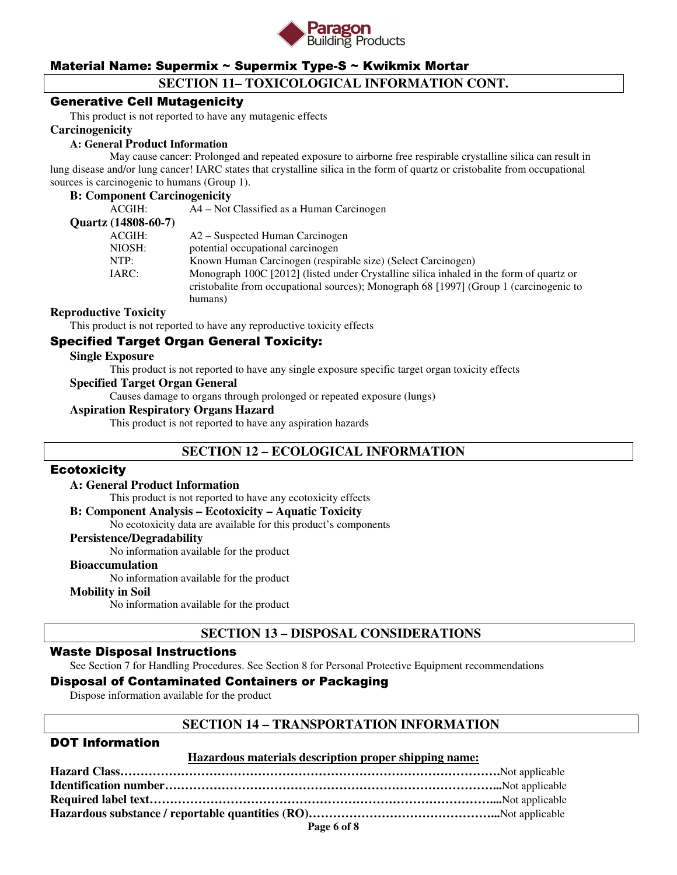

# **SECTION 11– TOXICOLOGICAL INFORMATION CONT.**

# Generative Cell Mutagenicity

This product is not reported to have any mutagenic effects

#### **Carcinogenicity**

#### **A: General Product Information**

May cause cancer: Prolonged and repeated exposure to airborne free respirable crystalline silica can result in lung disease and/or lung cancer! IARC states that crystalline silica in the form of quartz or cristobalite from occupational sources is carcinogenic to humans (Group 1).

#### **B: Component Carcinogenicity**

| ACGIH:              | A4 – Not Classified as a Human Carcinogen                                               |
|---------------------|-----------------------------------------------------------------------------------------|
| Quartz (14808-60-7) |                                                                                         |
| ACGIH:              | A2 – Suspected Human Carcinogen                                                         |
| NIOSH:              | potential occupational carcinogen                                                       |
| NTP:                | Known Human Carcinogen (respirable size) (Select Carcinogen)                            |
| IARC:               | Monograph 100C [2012] (listed under Crystalline silica inhaled in the form of quartz or |
|                     | cristobalite from occupational sources); Monograph 68 [1997] (Group 1 (carcinogenic to  |
|                     | humans)                                                                                 |
|                     |                                                                                         |

#### **Reproductive Toxicity**

This product is not reported to have any reproductive toxicity effects

# Specified Target Organ General Toxicity:

#### **Single Exposure**

This product is not reported to have any single exposure specific target organ toxicity effects

#### **Specified Target Organ General**

Causes damage to organs through prolonged or repeated exposure (lungs)

### **Aspiration Respiratory Organs Hazard**

This product is not reported to have any aspiration hazards

# **SECTION 12 – ECOLOGICAL INFORMATION**

#### **Ecotoxicity**

#### **A: General Product Information**

This product is not reported to have any ecotoxicity effects

#### **B: Component Analysis – Ecotoxicity – Aquatic Toxicity**

No ecotoxicity data are available for this product's components

#### **Persistence/Degradability**

No information available for the product

#### **Bioaccumulation**

No information available for the product

#### **Mobility in Soil**

No information available for the product

# **SECTION 13 – DISPOSAL CONSIDERATIONS**

### Waste Disposal Instructions

See Section 7 for Handling Procedures. See Section 8 for Personal Protective Equipment recommendations

# Disposal of Contaminated Containers or Packaging

Dispose information available for the product

### **SECTION 14 – TRANSPORTATION INFORMATION**

# DOT Information

#### **Hazardous materials description proper shipping name:**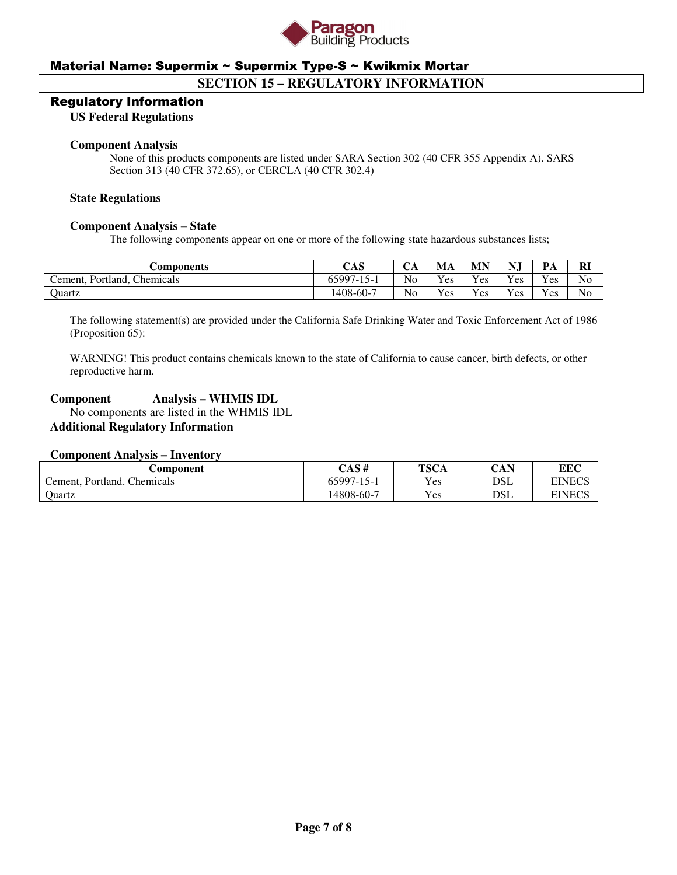

# **SECTION 15 – REGULATORY INFORMATION**

#### Regulatory Information

**US Federal Regulations** 

#### **Component Analysis**

None of this products components are listed under SARA Section 302 (40 CFR 355 Appendix A). SARS Section 313 (40 CFR 372.65), or CERCLA (40 CFR 302.4)

#### **State Regulations**

#### **Component Analysis – State**

The following components appear on one or more of the following state hazardous substances lists;

| Components                                   | CAS               | ◡◠ | MA  | MN  | ***<br>$N_{\rm o}$ | PA  | <b>RI</b>      |
|----------------------------------------------|-------------------|----|-----|-----|--------------------|-----|----------------|
| Chemicals<br>Portland.<br>$c$ ement. $\cdot$ | 65997-1<br>$15 -$ | No | Yes | Yes | Yes                | Yes | N <sub>o</sub> |
| <b>Quartz</b>                                | 1408-60-7         | No | Yes | Yes | Yes                | Yes | No             |

The following statement(s) are provided under the California Safe Drinking Water and Toxic Enforcement Act of 1986 (Proposition 65):

WARNING! This product contains chemicals known to the state of California to cause cancer, birth defects, or other reproductive harm.

# **Component Analysis – WHMIS IDL**

 No components are listed in the WHMIS IDL **Additional Regulatory Information** 

#### **Component Analysis – Inventory**

| <b>Component</b>                              | CAS #      | <b>TSCA</b> | CAN | <b>EEC</b>    |
|-----------------------------------------------|------------|-------------|-----|---------------|
| Chemicals<br>Portland.<br>$c$ ement. $\prime$ | 65997-15-1 | Yes         | DSL | <b>EINECS</b> |
| Quartz                                        | 14808-60-7 | Yes         | DSL | <b>EINECS</b> |